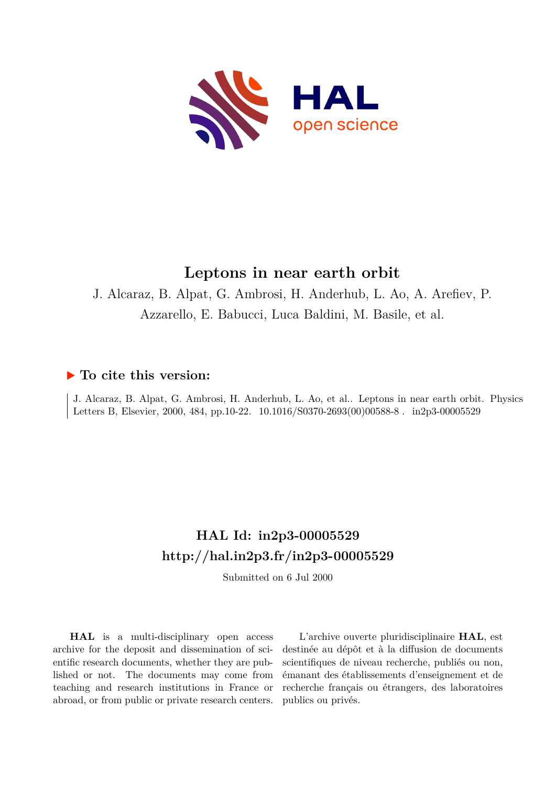

# **Leptons in near earth orbit**

J. Alcaraz, B. Alpat, G. Ambrosi, H. Anderhub, L. Ao, A. Arefiev, P. Azzarello, E. Babucci, Luca Baldini, M. Basile, et al.

### **To cite this version:**

J. Alcaraz, B. Alpat, G. Ambrosi, H. Anderhub, L. Ao, et al.. Leptons in near earth orbit. Physics Letters B, Elsevier, 2000, 484, pp.10-22.  $10.1016/S0370-2693(00)00588-8$ . in2p3-00005529

# **HAL Id: in2p3-00005529 <http://hal.in2p3.fr/in2p3-00005529>**

Submitted on 6 Jul 2000

**HAL** is a multi-disciplinary open access archive for the deposit and dissemination of scientific research documents, whether they are published or not. The documents may come from teaching and research institutions in France or abroad, or from public or private research centers.

L'archive ouverte pluridisciplinaire **HAL**, est destinée au dépôt et à la diffusion de documents scientifiques de niveau recherche, publiés ou non, émanant des établissements d'enseignement et de recherche français ou étrangers, des laboratoires publics ou privés.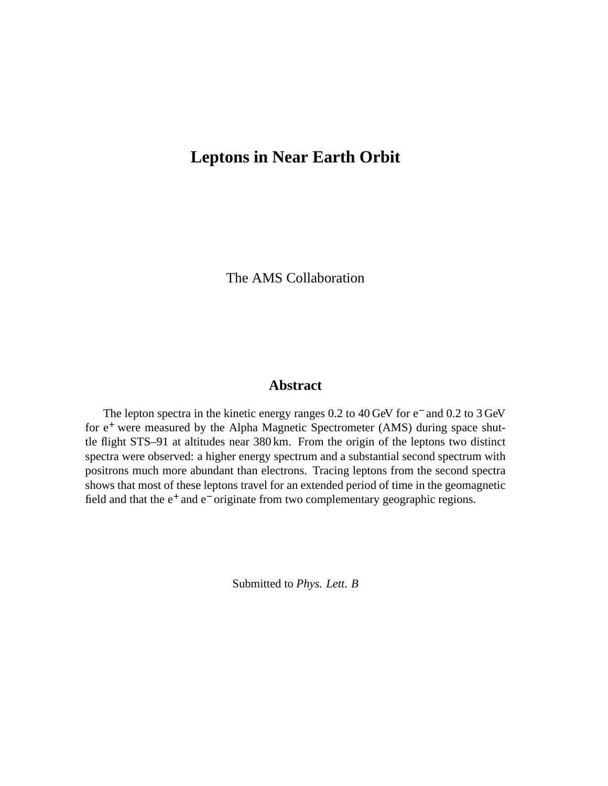### **Leptons in Near Earth Orbit**

The AMS Collaboration

#### **Abstract**

The lepton spectra in the kinetic energy ranges 0.2 to 40 GeV for e<sup>-</sup> and 0.2 to 3 GeV for  $e^+$  were measured by the Alpha Magnetic Spectrometer (AMS) during space shuttle flight STS–91 at altitudes near 380 km. From the origin of the leptons two distinct spectra were observed: a higher energy spectrum and a substantial second spectrum with positrons much more abundant than electrons. Tracing leptons from the second spectra shows that most of these leptons travel for an extended period of time in the geomagnetic field and that the e<sup>+</sup> and e<sup>-</sup> originate from two complementary geographic regions.

Submitted to *Phys. Lett. B*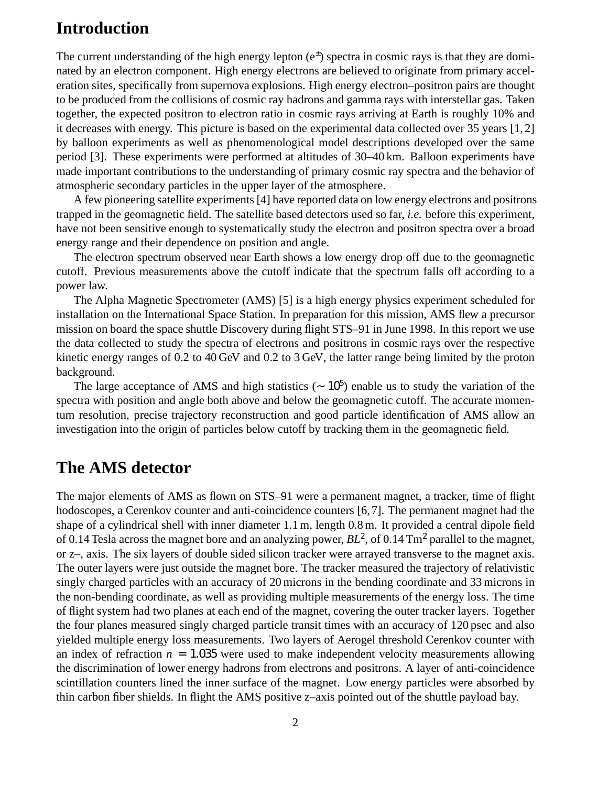## **Introduction**

The current understanding of the high energy lepton  $(e<sup>\pm</sup>)$  spectra in cosmic rays is that they are dominated by an electron component. High energy electrons are believed to originate from primary acceleration sites, specifically from supernova explosions. High energy electron–positron pairs are thought to be produced from the collisions of cosmic ray hadrons and gamma rays with interstellar gas. Taken together, the expected positron to electron ratio in cosmic rays arriving at Earth is roughly 10% and it decreases with energy. This picture is based on the experimental data collected over 35 years [1, 2] by balloon experiments as well as phenomenological model descriptions developed over the same period [3]. These experiments were performed at altitudes of 30–40 km. Balloon experiments have made important contributions to the understanding of primary cosmic ray spectra and the behavior of atmospheric secondary particles in the upper layer of the atmosphere.

A few pioneering satellite experiments[4] have reported data on low energy electrons and positrons trapped in the geomagnetic field. The satellite based detectors used so far, *i.e.* before this experiment, have not been sensitive enough to systematically study the electron and positron spectra over a broad energy range and their dependence on position and angle.

The electron spectrum observed near Earth shows a low energy drop off due to the geomagnetic cutoff. Previous measurements above the cutoff indicate that the spectrum falls off according to a power law.

The Alpha Magnetic Spectrometer (AMS) [5] is a high energy physics experiment scheduled for installation on the International Space Station. In preparation for this mission, AMS flew a precursor mission on board the space shuttle Discovery during flight STS–91 in June 1998. In this report we use the data collected to study the spectra of electrons and positrons in cosmic rays over the respective kinetic energy ranges of 0.2 to 40 GeV and 0.2 to 3 GeV, the latter range being limited by the proton background.

The large acceptance of AMS and high statistics ( $\sim 10^5$ ) enable us to study the variation of the spectra with position and angle both above and below the geomagnetic cutoff. The accurate momentum resolution, precise trajectory reconstruction and good particle identification of AMS allow an investigation into the origin of particles below cutoff by tracking them in the geomagnetic field.

## **The AMS detector**

The major elements of AMS as flown on STS–91 were a permanent magnet, a tracker, time of flight hodoscopes, a Cerenkov counter and anti-coincidence counters [6,7]. The permanent magnet had the shape of a cylindrical shell with inner diameter 1.1 m, length 0.8 m. It provided a central dipole field of 0.14 Tesla across the magnet bore and an analyzing power,  $BL^2$ , of 0.14 Tm<sup>2</sup> parallel to the magnet, or z–, axis. The six layers of double sided silicon tracker were arrayed transverse to the magnet axis. The outer layers were just outside the magnet bore. The tracker measured the trajectory of relativistic singly charged particles with an accuracy of 20 microns in the bending coordinate and 33 microns in the non-bending coordinate, as well as providing multiple measurements of the energy loss. The time of flight system had two planes at each end of the magnet, covering the outer tracker layers. Together the four planes measured singly charged particle transit times with an accuracy of 120 psec and also yielded multiple energy loss measurements. Two layers of Aerogel threshold Cerenkov counter with an index of refraction  $n = 1.035$  were used to make independent velocity measurements allowing the discrimination of lower energy hadrons from electrons and positrons. A layer of anti-coincidence scintillation counters lined the inner surface of the magnet. Low energy particles were absorbed by thin carbon fiber shields. In flight the AMS positive z–axis pointed out of the shuttle payload bay.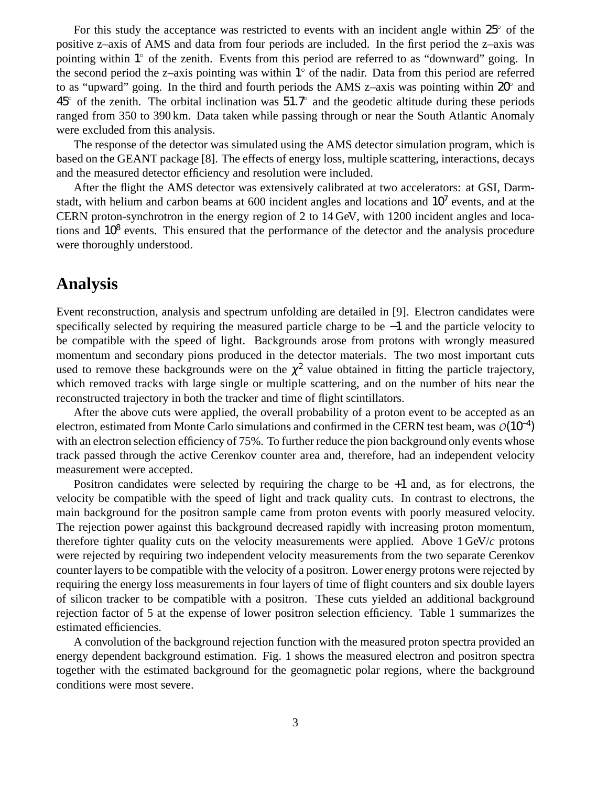For this study the acceptance was restricted to events with an incident angle within  $25^{\circ}$  of the positive z–axis of AMS and data from four periods are included. In the first period the z–axis was pointing within 1° of the zenith. Events from this period are referred to as "downward" going. In the second period the z-axis pointing was within  $1^{\circ}$  of the nadir. Data from this period are referred to as "upward" going. In the third and fourth periods the AMS z–axis was pointing within  $20^{\circ}$  and  $45^{\circ}$  of the zenith. The orbital inclination was  $51.7^{\circ}$  and the geodetic altitude during these periods ranged from 350 to 390 km. Data taken while passing through or near the South Atlantic Anomaly were excluded from this analysis.

The response of the detector was simulated using the AMS detector simulation program, which is based on the GEANT package [8]. The effects of energy loss, multiple scattering, interactions, decays and the measured detector efficiency and resolution were included.

After the flight the AMS detector was extensively calibrated at two accelerators: at GSI, Darmstadt, with helium and carbon beams at 600 incident angles and locations and  $10<sup>7</sup>$  events, and at the CERN proton-synchrotron in the energy region of 2 to 14 GeV, with 1200 incident angles and locations and 10<sup>8</sup> events. This ensured that the performance of the detector and the analysis procedure were thoroughly understood.

### **Analysis**

Event reconstruction, analysis and spectrum unfolding are detailed in [9]. Electron candidates were specifically selected by requiring the measured particle charge to be −1 and the particle velocity to be compatible with the speed of light. Backgrounds arose from protons with wrongly measured momentum and secondary pions produced in the detector materials. The two most important cuts used to remove these backgrounds were on the  $\chi^2$  value obtained in fitting the particle trajectory, which removed tracks with large single or multiple scattering, and on the number of hits near the reconstructed trajectory in both the tracker and time of flight scintillators.

After the above cuts were applied, the overall probability of a proton event to be accepted as an electron, estimated from Monte Carlo simulations and confirmed in the CERN test beam, was  $O(10^{-4})$ with an electron selection efficiency of 75%. To further reduce the pion background only events whose track passed through the active Cerenkov counter area and, therefore, had an independent velocity measurement were accepted.

Positron candidates were selected by requiring the charge to be +1 and, as for electrons, the velocity be compatible with the speed of light and track quality cuts. In contrast to electrons, the main background for the positron sample came from proton events with poorly measured velocity. The rejection power against this background decreased rapidly with increasing proton momentum, therefore tighter quality cuts on the velocity measurements were applied. Above 1 GeV/*c* protons were rejected by requiring two independent velocity measurements from the two separate Cerenkov counter layers to be compatible with the velocity of a positron. Lower energy protons were rejected by requiring the energy loss measurements in four layers of time of flight counters and six double layers of silicon tracker to be compatible with a positron. These cuts yielded an additional background rejection factor of 5 at the expense of lower positron selection efficiency. Table 1 summarizes the estimated efficiencies.

A convolution of the background rejection function with the measured proton spectra provided an energy dependent background estimation. Fig. 1 shows the measured electron and positron spectra together with the estimated background for the geomagnetic polar regions, where the background conditions were most severe.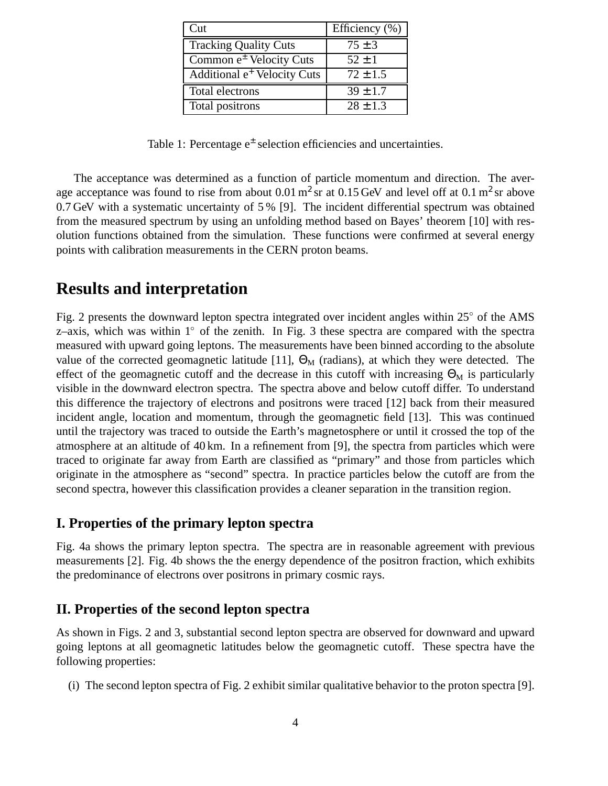| Cut                                     | Efficiency $(\%)$ |
|-----------------------------------------|-------------------|
| <b>Tracking Quality Cuts</b>            | $75 \pm 3$        |
| Common $e^{\pm}$ Velocity Cuts          | $52 \pm 1$        |
| Additional e <sup>+</sup> Velocity Cuts | $72 \pm 1.5$      |
| Total electrons                         | $39 \pm 1.7$      |
| Total positrons                         | $28 \pm 1.3$      |

Table 1: Percentage e<sup>±</sup> selection efficiencies and uncertainties.

The acceptance was determined as a function of particle momentum and direction. The average acceptance was found to rise from about  $0.01 \text{ m}^2 \text{ sr}$  at  $0.15 \text{ GeV}$  and level off at  $0.1 \text{ m}^2 \text{ sr}$  above 0.7 GeV with a systematic uncertainty of 5 % [9]. The incident differential spectrum was obtained from the measured spectrum by using an unfolding method based on Bayes' theorem [10] with resolution functions obtained from the simulation. These functions were confirmed at several energy points with calibration measurements in the CERN proton beams.

### **Results and interpretation**

Fig. 2 presents the downward lepton spectra integrated over incident angles within  $25^{\circ}$  of the AMS z–axis, which was within  $1^{\circ}$  of the zenith. In Fig. 3 these spectra are compared with the spectra measured with upward going leptons. The measurements have been binned according to the absolute value of the corrected geomagnetic latitude [11],  $\Theta_M$  (radians), at which they were detected. The effect of the geomagnetic cutoff and the decrease in this cutoff with increasing  $\Theta_M$  is particularly visible in the downward electron spectra. The spectra above and below cutoff differ. To understand this difference the trajectory of electrons and positrons were traced [12] back from their measured incident angle, location and momentum, through the geomagnetic field [13]. This was continued until the trajectory was traced to outside the Earth's magnetosphere or until it crossed the top of the atmosphere at an altitude of 40 km. In a refinement from [9], the spectra from particles which were traced to originate far away from Earth are classified as "primary" and those from particles which originate in the atmosphere as "second" spectra. In practice particles below the cutoff are from the second spectra, however this classification provides a cleaner separation in the transition region.

#### **I. Properties of the primary lepton spectra**

Fig. 4a shows the primary lepton spectra. The spectra are in reasonable agreement with previous measurements [2]. Fig. 4b shows the the energy dependence of the positron fraction, which exhibits the predominance of electrons over positrons in primary cosmic rays.

#### **II. Properties of the second lepton spectra**

As shown in Figs. 2 and 3, substantial second lepton spectra are observed for downward and upward going leptons at all geomagnetic latitudes below the geomagnetic cutoff. These spectra have the following properties:

(i) The second lepton spectra of Fig. 2 exhibit similar qualitative behavior to the proton spectra [9].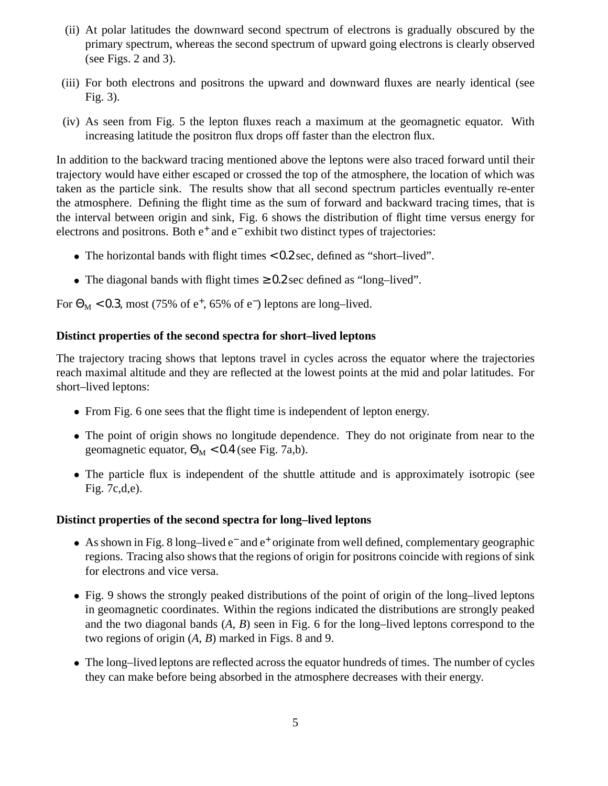- (ii) At polar latitudes the downward second spectrum of electrons is gradually obscured by the primary spectrum, whereas the second spectrum of upward going electrons is clearly observed (see Figs. 2 and 3).
- (iii) For both electrons and positrons the upward and downward fluxes are nearly identical (see Fig. 3).
- (iv) As seen from Fig. 5 the lepton fluxes reach a maximum at the geomagnetic equator. With increasing latitude the positron flux drops off faster than the electron flux.

In addition to the backward tracing mentioned above the leptons were also traced forward until their trajectory would have either escaped or crossed the top of the atmosphere, the location of which was taken as the particle sink. The results show that all second spectrum particles eventually re-enter the atmosphere. Defining the flight time as the sum of forward and backward tracing times, that is the interval between origin and sink, Fig. 6 shows the distribution of flight time versus energy for electrons and positrons. Both e<sup>+</sup> and e<sup>−</sup> exhibit two distinct types of trajectories:

- The horizontal bands with flight times < 0.2 sec, defined as "short–lived".
- The diagonal bands with flight times  $\geq 0.2$  sec defined as "long–lived".

For  $\Theta_M$  < 0.3, most (75% of e<sup>+</sup>, 65% of e<sup>-</sup>) leptons are long-lived.

#### **Distinct properties of the second spectra for short–lived leptons**

The trajectory tracing shows that leptons travel in cycles across the equator where the trajectories reach maximal altitude and they are reflected at the lowest points at the mid and polar latitudes. For short–lived leptons:

- From Fig. 6 one sees that the flight time is independent of lepton energy.
- The point of origin shows no longitude dependence. They do not originate from near to the geomagnetic equator,  $\Theta_M < 0.4$  (see Fig. 7a,b).
- The particle flux is independent of the shuttle attitude and is approximately isotropic (see Fig. 7c,d,e).

#### **Distinct properties of the second spectra for long–lived leptons**

- As shown in Fig. 8 long-lived e<sup>-</sup> and e<sup>+</sup> originate from well defined, complementary geographic regions. Tracing also shows that the regions of origin for positrons coincide with regions of sink for electrons and vice versa.
- Fig. 9 shows the strongly peaked distributions of the point of origin of the long–lived leptons in geomagnetic coordinates. Within the regions indicated the distributions are strongly peaked and the two diagonal bands (*A, B*) seen in Fig. 6 for the long–lived leptons correspond to the two regions of origin (*A, B*) marked in Figs. 8 and 9.
- The long–lived leptons are reflected across the equator hundreds of times. The number of cycles they can make before being absorbed in the atmosphere decreases with their energy.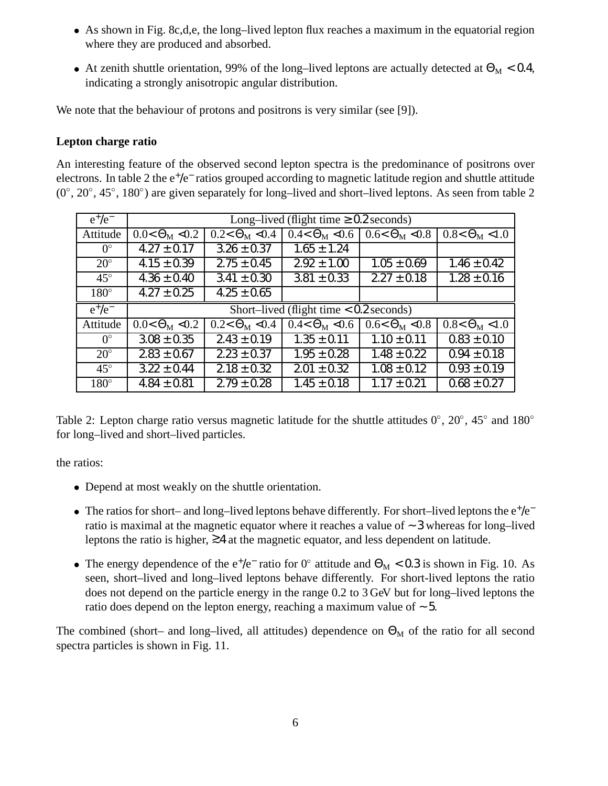- As shown in Fig. 8c,d,e, the long–lived lepton flux reaches a maximum in the equatorial region where they are produced and absorbed.
- At zenith shuttle orientation, 99% of the long–lived leptons are actually detected at  $\Theta_M < 0.4$ , indicating a strongly anisotropic angular distribution.

We note that the behaviour of protons and positrons is very similar (see [9]).

#### **Lepton charge ratio**

An interesting feature of the observed second lepton spectra is the predominance of positrons over electrons. In table 2 the e<sup>+</sup>/e<sup>-</sup> ratios grouped according to magnetic latitude region and shuttle attitude  $(0^{\circ}, 20^{\circ}, 45^{\circ}, 180^{\circ})$  are given separately for long–lived and short–lived leptons. As seen from table 2

| $e^+/e^-$    | Long–lived (flight time $\geq 0.2$ seconds) |                        |                                           |                              |                        |  |
|--------------|---------------------------------------------|------------------------|-------------------------------------------|------------------------------|------------------------|--|
| Attitude     | $0.0 < \Theta_M < 0.2$                      | $0.2 < \Theta_M < 0.4$ | $0.4 < \Theta_{\rm M} < 0.6$              | $0.6 < \Theta_{\rm M} < 0.8$ | $0.8 < \Theta_M < 1.0$ |  |
| $0^{\circ}$  | $4.27 \pm 0.17$                             | $3.26 \pm 0.37$        | $1.65 \pm 1.24$                           |                              |                        |  |
| $20^{\circ}$ | $4.15 \pm 0.39$                             | $2.75 \pm 0.45$        | $2.92 \pm 1.00$                           | $1.05 \pm 0.69$              | $1.46 \pm 0.42$        |  |
| $45^{\circ}$ | $4.36 \pm 0.40$                             | $3.41 \pm 0.30$        | $3.81 \pm 0.33$                           | $2.27 \pm 0.18$              | $1.28 \pm 0.16$        |  |
| $180^\circ$  | $4.27 \pm 0.25$                             | $4.25 \pm 0.65$        |                                           |                              |                        |  |
|              |                                             |                        |                                           |                              |                        |  |
| $e^+/e^-$    |                                             |                        | Short-lived (flight time $< 0.2$ seconds) |                              |                        |  |
| Attitude     | $0.0 < \Theta_M < 0.2$                      | $0.2 < \Theta_M < 0.4$ | $0.4 < \Theta_{\rm M} < 0.6$              | $0.6 < \Theta_M < 0.8$       | $0.8 < \Theta_M < 1.0$ |  |
| $0^{\circ}$  | $3.08 \pm 0.35$                             | $2.43 \pm 0.19$        | $1.35 \pm 0.11$                           | $1.10 \pm 0.11$              | $0.83 \pm 0.10$        |  |
| $20^{\circ}$ | $2.83 \pm 0.67$                             | $2.23 \pm 0.37$        | $1.95 \pm 0.28$                           | $1.48 \pm 0.22$              | $0.94 \pm 0.18$        |  |
| $45^{\circ}$ | $3.22 \pm 0.44$                             | $2.18 \pm 0.32$        | $2.01 \pm 0.32$                           | $1.08 \pm 0.12$              | $0.93 \pm 0.19$        |  |

Table 2: Lepton charge ratio versus magnetic latitude for the shuttle attitudes  $0^{\circ}$ ,  $20^{\circ}$ ,  $45^{\circ}$  and  $180^{\circ}$ for long–lived and short–lived particles.

the ratios:

- Depend at most weakly on the shuttle orientation.
- The ratios for short– and long–lived leptons behave differently. For short–lived leptons the  $e^+/e^$ ratio is maximal at the magnetic equator where it reaches a value of ∼ 3 whereas for long–lived leptons the ratio is higher, ≥4 at the magnetic equator, and less dependent on latitude.
- The energy dependence of the  $e^+/e^-$  ratio for 0° attitude and  $\Theta_M < 0.3$  is shown in Fig. 10. As seen, short–lived and long–lived leptons behave differently. For short-lived leptons the ratio does not depend on the particle energy in the range 0.2 to 3 GeV but for long–lived leptons the ratio does depend on the lepton energy, reaching a maximum value of ∼ 5.

The combined (short– and long–lived, all attitudes) dependence on  $\Theta_M$  of the ratio for all second spectra particles is shown in Fig. 11.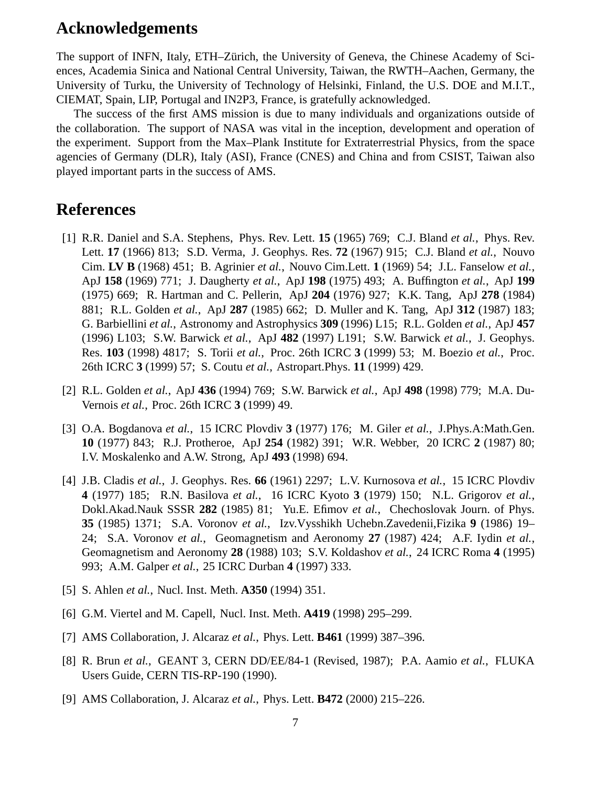### **Acknowledgements**

The support of INFN, Italy, ETH–Zürich, the University of Geneva, the Chinese Academy of Sciences, Academia Sinica and National Central University, Taiwan, the RWTH–Aachen, Germany, the University of Turku, the University of Technology of Helsinki, Finland, the U.S. DOE and M.I.T., CIEMAT, Spain, LIP, Portugal and IN2P3, France, is gratefully acknowledged.

The success of the first AMS mission is due to many individuals and organizations outside of the collaboration. The support of NASA was vital in the inception, development and operation of the experiment. Support from the Max–Plank Institute for Extraterrestrial Physics, from the space agencies of Germany (DLR), Italy (ASI), France (CNES) and China and from CSIST, Taiwan also played important parts in the success of AMS.

### **References**

- [1] R.R. Daniel and S.A. Stephens, Phys. Rev. Lett. **15** (1965) 769; C.J. Bland *et al.*, Phys. Rev. Lett. **17** (1966) 813; S.D. Verma, J. Geophys. Res. **72** (1967) 915; C.J. Bland *et al.*, Nouvo Cim. **LV B** (1968) 451; B. Agrinier *et al.*, Nouvo Cim.Lett. **1** (1969) 54; J.L. Fanselow *et al.*, ApJ **158** (1969) 771; J. Daugherty *et al.*, ApJ **198** (1975) 493; A. Buffington *et al.*, ApJ **199** (1975) 669; R. Hartman and C. Pellerin, ApJ **204** (1976) 927; K.K. Tang, ApJ **278** (1984) 881; R.L. Golden *et al.*, ApJ **287** (1985) 662; D. Muller and K. Tang, ApJ **312** (1987) 183; G. Barbiellini *et al.*, Astronomy and Astrophysics **309** (1996) L15; R.L. Golden *et al.*, ApJ **457** (1996) L103; S.W. Barwick *et al.*, ApJ **482** (1997) L191; S.W. Barwick *et al.*, J. Geophys. Res. **103** (1998) 4817; S. Torii *et al.*, Proc. 26th ICRC **3** (1999) 53; M. Boezio *et al.*, Proc. 26th ICRC **3** (1999) 57; S. Coutu *et al.*, Astropart.Phys. **11** (1999) 429.
- [2] R.L. Golden *et al.*, ApJ **436** (1994) 769; S.W. Barwick *et al.*, ApJ **498** (1998) 779; M.A. Du-Vernois *et al.*, Proc. 26th ICRC **3** (1999) 49.
- [3] O.A. Bogdanova *et al.*, 15 ICRC Plovdiv **3** (1977) 176; M. Giler *et al.*, J.Phys.A:Math.Gen. **10** (1977) 843; R.J. Protheroe, ApJ **254** (1982) 391; W.R. Webber, 20 ICRC **2** (1987) 80; I.V. Moskalenko and A.W. Strong, ApJ **493** (1998) 694.
- [4] J.B. Cladis *et al.*, J. Geophys. Res. **66** (1961) 2297; L.V. Kurnosova *et al.*, 15 ICRC Plovdiv **4** (1977) 185; R.N. Basilova *et al.*, 16 ICRC Kyoto **3** (1979) 150; N.L. Grigorov *et al.*, Dokl.Akad.Nauk SSSR **282** (1985) 81; Yu.E. Efimov *et al.*, Chechoslovak Journ. of Phys. **35** (1985) 1371; S.A. Voronov *et al.*, Izv.Vysshikh Uchebn.Zavedenii,Fizika **9** (1986) 19– 24; S.A. Voronov *et al.*, Geomagnetism and Aeronomy **27** (1987) 424; A.F. Iydin *et al.*, Geomagnetism and Aeronomy **28** (1988) 103; S.V. Koldashov *et al.*, 24 ICRC Roma **4** (1995) 993; A.M. Galper *et al.*, 25 ICRC Durban **4** (1997) 333.
- [5] S. Ahlen *et al.*, Nucl. Inst. Meth. **A350** (1994) 351.
- [6] G.M. Viertel and M. Capell, Nucl. Inst. Meth. **A419** (1998) 295–299.
- [7] AMS Collaboration, J. Alcaraz *et al.*, Phys. Lett. **B461** (1999) 387–396.
- [8] R. Brun *et al.*, GEANT 3, CERN DD/EE/84-1 (Revised, 1987); P.A. Aamio *et al.*, FLUKA Users Guide, CERN TIS-RP-190 (1990).
- [9] AMS Collaboration, J. Alcaraz *et al.*, Phys. Lett. **B472** (2000) 215–226.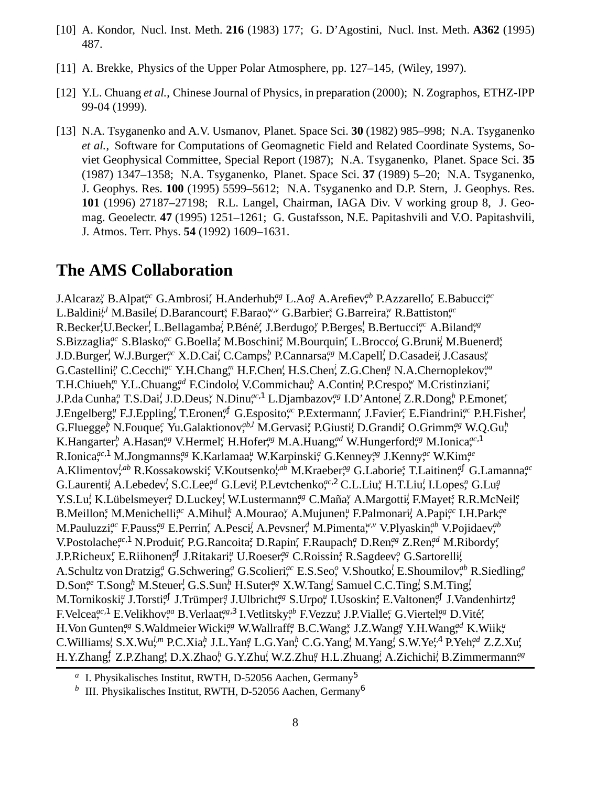- [10] A. Kondor, Nucl. Inst. Meth. **216** (1983) 177; G. D'Agostini, Nucl. Inst. Meth. **A362** (1995) 487.
- [11] A. Brekke, Physics of the Upper Polar Atmosphere, pp. 127–145, (Wiley, 1997).
- [12] Y.L. Chuang *et al.*, Chinese Journal of Physics, in preparation (2000); N. Zographos, ETHZ-IPP 99-04 (1999).
- [13] N.A. Tsyganenko and A.V. Usmanov, Planet. Space Sci. **30** (1982) 985–998; N.A. Tsyganenko *et al.*, Software for Computations of Geomagnetic Field and Related Coordinate Systems, Soviet Geophysical Committee, Special Report (1987); N.A. Tsyganenko, Planet. Space Sci. **35** (1987) 1347–1358; N.A. Tsyganenko, Planet. Space Sci. **37** (1989) 5–20; N.A. Tsyganenko, J. Geophys. Res. **100** (1995) 5599–5612; N.A. Tsyganenko and D.P. Stern, J. Geophys. Res. **101** (1996) 27187–27198; R.L. Langel, Chairman, IAGA Div. V working group 8, J. Geomag. Geoelectr. **47** (1995) 1251–1261; G. Gustafsson, N.E. Papitashvili and V.O. Papitashvili, J. Atmos. Terr. Phys. **54** (1992) 1609–1631.

### **The AMS Collaboration**

J.Alcaraz,*<sup>y</sup>* B.Alpat,*ac* G.Ambrosi,*<sup>r</sup>* H.Anderhub,*ag* L.Ao,*<sup>g</sup>* A.Arefiev,*ab* P.Azzarello,*<sup>r</sup>* E.Babucci,*ac* L.Baldini,*<sup>j</sup>*,*<sup>l</sup>* M.Basile,*<sup>j</sup>* D.Barancourt,*<sup>s</sup>* F.Barao,*<sup>w</sup>*,*<sup>v</sup>* G.Barbier,*<sup>s</sup>* G.Barreira,*<sup>w</sup>* R.Battiston,*ac* R.Becker<sup>!</sup>,U.Becker<sup>!</sup>, L.Bellagamba<sup>?</sup>, P.Béné', J.Berdugo<sup>y</sup>, P.Berges<sup>?</sup>, B.Bertucci<sup>ac</sup> A.Biland<sup>ag</sup> S.Bizzaglia,*ac* S.Blasko,*ac* G.Boella,*<sup>z</sup>* M.Boschini,*<sup>z</sup>* M.Bourquin,*<sup>r</sup>* L.Brocco,*<sup>j</sup>* G.Bruni,*<sup>j</sup>* M.Buenerd,*<sup>s</sup>* J.D.Burger,*<sup>l</sup>* W.J.Burger,*ac* X.D.Cai,*<sup>l</sup>* C.Camps,*<sup>b</sup>* P.Cannarsa,*ag* M.Capell,*<sup>l</sup>* D.Casadei,*<sup>j</sup>* J.Casaus,*<sup>y</sup>* G.Castellini<sup>p</sup>, C.Cecchi,<sup>ac</sup> Y.H.Chang,<sup>*m*</sup> H.F.Chen,<sup>*t*</sup> H.S.Chen,<sup>*z*</sup> Z.G.Chen,<sup>*g*</sup> N.A.Chernoplekov,<sup>*aa*</sup> T.H.Chiueh,*<sup>m</sup>* Y.L.Chuang,*ad* F.Cindolo,*<sup>j</sup>* V.Commichau,*<sup>b</sup>* A.Contin,*<sup>j</sup>* P.Crespo,*<sup>w</sup>* M.Cristinziani,*<sup>r</sup>* J.P.da Cunha,*<sup>n</sup>* T.S.Dai,*<sup>l</sup>* J.D.Deus,*<sup>v</sup>* N.Dinu,*ac*,1 L.Djambazov,*ag* I.D'Antone,*<sup>j</sup>* Z.R.Dong,*<sup>h</sup>* P.Emonet,*<sup>r</sup>* J.Engelberg,*<sup>u</sup>* F.J.Eppling,*<sup>l</sup>* T.Eronen,*<sup>a</sup>*<sup>ƒ</sup> G.Esposito,*ac* P.Extermann,*<sup>r</sup>* J.Favier,*<sup>c</sup>* E.Fiandrini,*ac* P.H.Fisher,*<sup>l</sup>* G.Fluegge,*<sup>b</sup>* N.Fouque,*<sup>c</sup>* Yu.Galaktionov,*ab*,*<sup>l</sup>* M.Gervasi,*<sup>z</sup>* P.Giusti,*<sup>j</sup>* D.Grandi,*<sup>z</sup>* O.Grimm,*ag* W.Q.Gu,*<sup>h</sup>* K.Hangarter<sup>*b*</sup>, A.Hasan,<sup>ag</sup> V.Hermel,<sup>c</sup> H.Hofer,<sup>ag</sup> M.A.Huang,<sup>*d*</sup> W.Hungerford,<sup>ag</sup> M.Ionica,<sup>ac,1</sup> R.Ionica,*ac*,1 M.Jongmanns,*ag* K.Karlamaa,*<sup>u</sup>* W.Karpinski,*<sup>a</sup>* G.Kenney,*ag* J.Kenny,*ac* W.Kim,*ae* A.Klimentov,*<sup>l</sup>*,*ab* R.Kossakowski,*<sup>c</sup>* V.Koutsenko,*<sup>l</sup>*,*ab* M.Kraeber,*ag* G.Laborie,*<sup>s</sup>* T.Laitinen,*<sup>a</sup>*<sup>ƒ</sup> G.Lamanna,*ac* G.Laurenti,*<sup>j</sup>* A.Lebedev,*<sup>l</sup>* S.C.Lee,*ad* G.Levi,*<sup>j</sup>* P.Levtchenko,*ac*,2 C.L.Liu,*<sup>x</sup>* H.T.Liu,*<sup>i</sup>* I.Lopes,*<sup>n</sup>* G.Lu,*<sup>g</sup>* Y.S.Lu<sup>i</sup>, K.Lübelsmeyer,<sup>a</sup> D.Luckey<sup>!</sup>, W.Lustermann,<sup>ag</sup> C.Maña,<sup>y</sup> A.Margotti<sup>*i*</sup>, F.Mayet,<sup>e</sup>, R.R.McNeil,<sup>e</sup> B.Meillon,<sup>*s*</sup> M.Menichelli,<sup>*ac*</sup> A.Mihul,<sup>k</sup> A.Mourao,<sup>*v*</sup> A.Mujunen,<sup>*u*</sup> F.Palmonari,<sup>*i*</sup> A.Papi,<sup>*ac*</sup> I.H.Park,<sup>*ae*</sup> M.Pauluzzi,*ac* F.Pauss,*ag* E.Perrin,*<sup>r</sup>* A.Pesci,*<sup>j</sup>* A.Pevsner,*<sup>d</sup>* M.Pimenta,*<sup>w</sup>*,*<sup>v</sup>* V.Plyaskin,*ab* V.Pojidaev,*ab* V.Postolache,*ac*,1 N.Produit,*<sup>r</sup>* P.G.Rancoita,*<sup>z</sup>* D.Rapin,*<sup>r</sup>* F.Raupach,*<sup>a</sup>* D.Ren,*ag* Z.Ren,*ad* M.Ribordy,*<sup>r</sup>* J.P.Richeux,*<sup>r</sup>* E.Riihonen,*<sup>a</sup>*<sup>ƒ</sup> J.Ritakari,*<sup>u</sup>* U.Roeser,*ag* C.Roissin,*<sup>s</sup>* R.Sagdeev,*<sup>o</sup>* G.Sartorelli,*<sup>j</sup>* A.Schultz von Dratzig,*<sup>a</sup>* G.Schwering,*<sup>a</sup>* G.Scolieri,*ac* E.S.Seo,*<sup>o</sup>* V.Shoutko,*<sup>l</sup>* E.Shoumilov,*ab* R.Siedling,*<sup>a</sup>* D.Son,<sup>ae</sup> T.Song<sub>h</sub>, M.Steuer<sup>1</sup>, G.S.Sun<sub>h</sub>, H.Suter,<sup>ag</sup> X.W.Tang<sub>i</sub>, Samuel C.C.Ting<sup>1</sup>, S.M.Ting<sup>1</sup>, M.Tornikoski,<sup>a</sup> J.Torsti,<sup>af</sup> J.Trümper,<sup>a</sup> J.Ulbricht,<sup>ag</sup> S.Urpo,<sup>a</sup> I.Usoskin,<sup>z</sup> E.Valtonen,<sup>af</sup> J.Vandenhirtz,<sup>a</sup> F.Velcea<sup>*ac*,1</sup> E.Velikhov,<sup>*aa*</sup> B.Verlaat,<sup>*ag*,3</sup> I.Vetlitsky,<sup>*ab*</sup> F.Vezzu,<sup>*c*</sup> J.P.Vialle,<sup>*c*</sup> G.Viertel,<sup>*ag*</sup> D.Vité, H.Von Gunten,*ag* S.Waldmeier Wicki,*ag* W.Wallraff,*<sup>a</sup>* B.C.Wang,*<sup>x</sup>* J.Z.Wang,*<sup>g</sup>* Y.H.Wang,*ad* K.Wiik,*<sup>u</sup>* C.Williams<sup>*i*</sup>, S.X.Wu<sup>*l,m*</sup> P.C.Xia<sup> $h$ </sup>, J.L.Yan<sup>g</sup>, L.G.Yan<sup> $h$ </sup>, C.G.Yang<sup>*i*</sup>, M.Yang<sup>*i*</sup>, S.W.Ye<sup>*t*,4</sup> P.Yeh<sup>*ad*</sup> Z.Z.Xu<sup>*t*</sup>, H.Y.Zhang,<sup>ƒ</sup> Z.P.Zhang,*<sup>t</sup>* D.X.Zhao,*<sup>h</sup>* G.Y.Zhu,*<sup>i</sup>* W.Z.Zhu,*<sup>g</sup>* H.L.Zhuang,*<sup>i</sup>* A.Zichichi,*<sup>j</sup>* B.Zimmermann.*ag*

<sup>&</sup>lt;sup>a</sup> I. Physikalisches Institut, RWTH, D-52056 Aachen, Germany<sup>5</sup>

<sup>&</sup>lt;sup>*b*</sup> III. Physikalisches Institut, RWTH, D-52056 Aachen, Germany<sup>6</sup>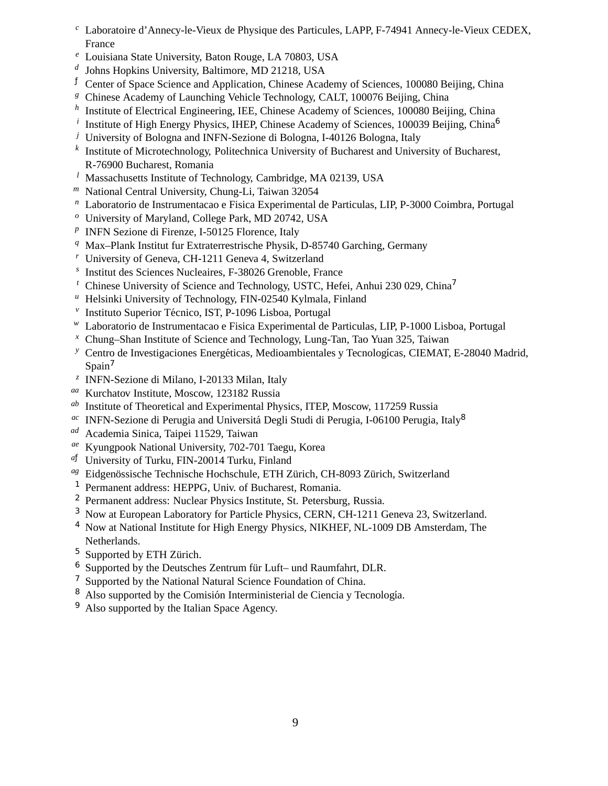- *<sup>c</sup>* Laboratoire d'Annecy-le-Vieux de Physique des Particules, LAPP, F-74941 Annecy-le-Vieux CEDEX, France
- *<sup>e</sup>* Louisiana State University, Baton Rouge, LA 70803, USA
- *d* Johns Hopkins University, Baltimore, MD 21218, USA
- $\overrightarrow{f}$  Center of Space Science and Application, Chinese Academy of Sciences, 100080 Beijing, China
- *<sup>g</sup>* Chinese Academy of Launching Vehicle Technology, CALT, 100076 Beijing, China
- *h* Institute of Electrical Engineering, IEE, Chinese Academy of Sciences, 100080 Beijing, China
- <sup>*i*</sup> Institute of High Energy Physics, IHEP, Chinese Academy of Sciences, 100039 Beijing, China<sup>6</sup>
- *<sup>j</sup>* University of Bologna and INFN-Sezione di Bologna, I-40126 Bologna, Italy
- *k* Institute of Microtechnology, Politechnica University of Bucharest and University of Bucharest, R-76900 Bucharest, Romania
- *<sup>l</sup>* Massachusetts Institute of Technology, Cambridge, MA 02139, USA
- *<sup>m</sup>* National Central University, Chung-Li, Taiwan 32054
- *<sup>n</sup>* Laboratorio de Instrumentacao e Fisica Experimental de Particulas, LIP, P-3000 Coimbra, Portugal
- *<sup>o</sup>* University of Maryland, College Park, MD 20742, USA
- *p* INFN Sezione di Firenze, I-50125 Florence, Italy
- *<sup>q</sup>* Max–Plank Institut fur Extraterrestrische Physik, D-85740 Garching, Germany
- *<sup>r</sup>* University of Geneva, CH-1211 Geneva 4, Switzerland
- *s* Institut des Sciences Nucleaires, F-38026 Grenoble, France
- *<sup>t</sup>* Chinese University of Science and Technology, USTC, Hefei, Anhui 230 029, China<sup>7</sup>
- *<sup>u</sup>* Helsinki University of Technology, FIN-02540 Kylmala, Finland
- <sup>v</sup> Instituto Superior Técnico, IST, P-1096 Lisboa, Portugal
- *<sup>w</sup>* Laboratorio de Instrumentacao e Fisica Experimental de Particulas, LIP, P-1000 Lisboa, Portugal
- *<sup>x</sup>* Chung–Shan Institute of Science and Technology, Lung-Tan, Tao Yuan 325, Taiwan
- <sup>*y*</sup> Centro de Investigaciones Energéticas, Medioambientales y Tecnologícas, CIEMAT, E-28040 Madrid,  $S$ pain<sup>7</sup>
- *z* INFN-Sezione di Milano, I-20133 Milan, Italy
- *aa* Kurchatov Institute, Moscow, 123182 Russia
- *ab* Institute of Theoretical and Experimental Physics, ITEP, Moscow, 117259 Russia
- <sup>ac</sup> INFN-Sezione di Perugia and Universitá Degli Studi di Perugia, I-06100 Perugia, Italy<sup>8</sup>
- *ad* Academia Sinica, Taipei 11529, Taiwan
- *ae* Kyungpook National University, 702-701 Taegu, Korea
- *<sup>a</sup>*<sup>ƒ</sup> University of Turku, FIN-20014 Turku, Finland
- <sup>ag</sup> Eidgenössische Technische Hochschule, ETH Zürich, CH-8093 Zürich, Switzerland
- <sup>1</sup> Permanent address: HEPPG, Univ. of Bucharest, Romania.
- <sup>2</sup> Permanent address: Nuclear Physics Institute, St. Petersburg, Russia.
- <sup>3</sup> Now at European Laboratory for Particle Physics, CERN, CH-1211 Geneva 23, Switzerland.
- <sup>4</sup> Now at National Institute for High Energy Physics, NIKHEF, NL-1009 DB Amsterdam, The Netherlands.
- $5$  Supported by ETH Zürich.
- $6$  Supported by the Deutsches Zentrum für Luft– und Raumfahrt, DLR.
- <sup>7</sup> Supported by the National Natural Science Foundation of China.
- <sup>8</sup> Also supported by the Comisión Interministerial de Ciencia y Tecnología.
- <sup>9</sup> Also supported by the Italian Space Agency.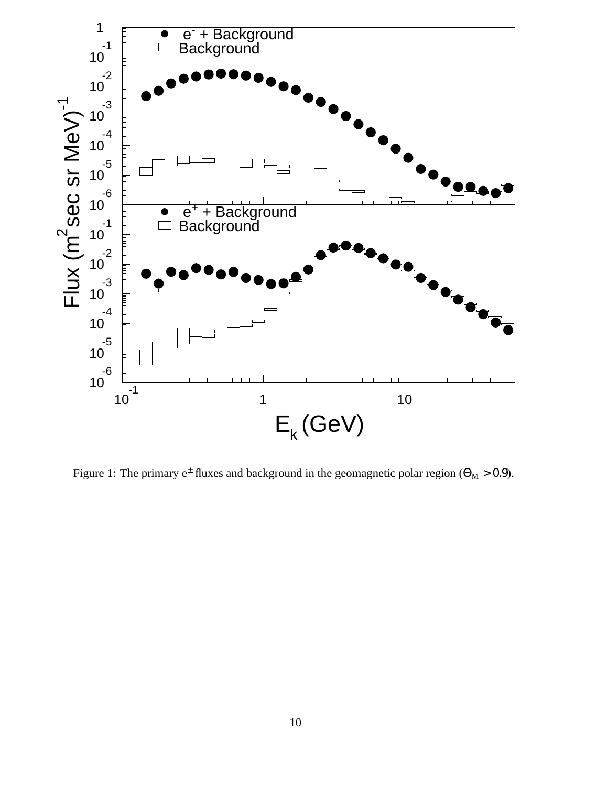

Figure 1: The primary  $e^{\pm}$  fluxes and background in the geomagnetic polar region ( $\Theta_M > 0.9$ ).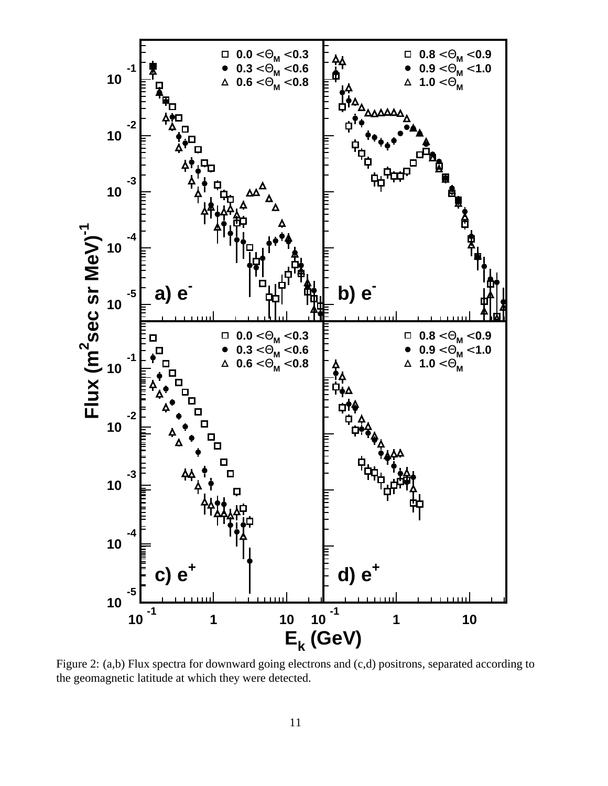

Figure 2: (a,b) Flux spectra for downward going electrons and (c,d) positrons, separated according to the geomagnetic latitude at which they were detected.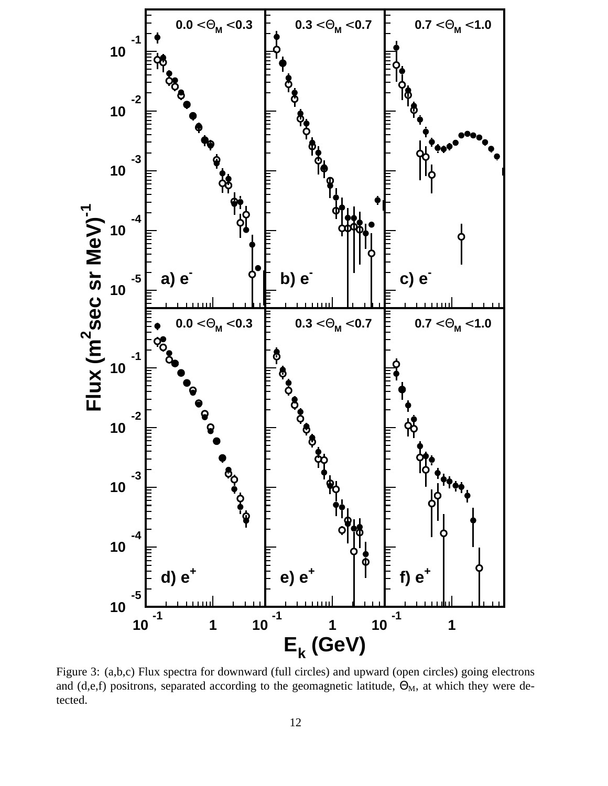

Figure 3: (a,b,c) Flux spectra for downward (full circles) and upward (open circles) going electrons and (d,e,f) positrons, separated according to the geomagnetic latitude,  $\Theta_M$ , at which they were detected.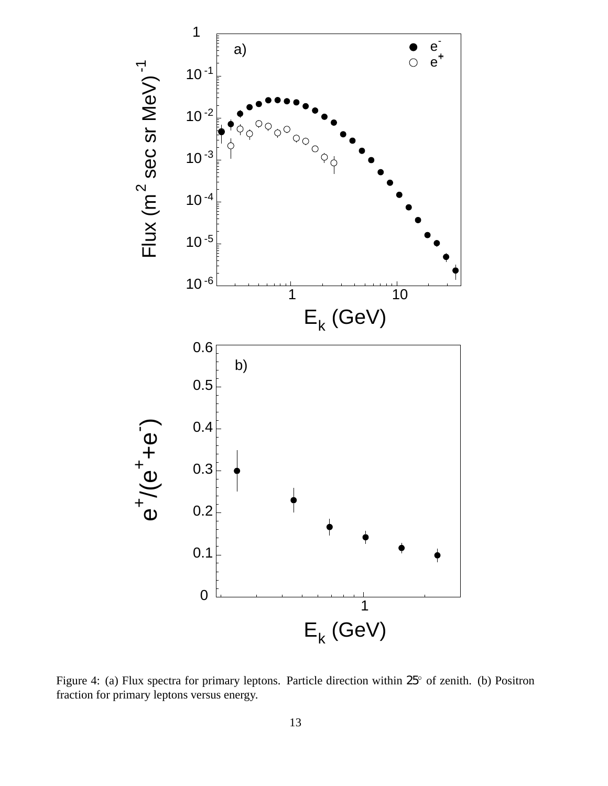

Figure 4: (a) Flux spectra for primary leptons. Particle direction within  $25^{\circ}$  of zenith. (b) Positron fraction for primary leptons versus energy.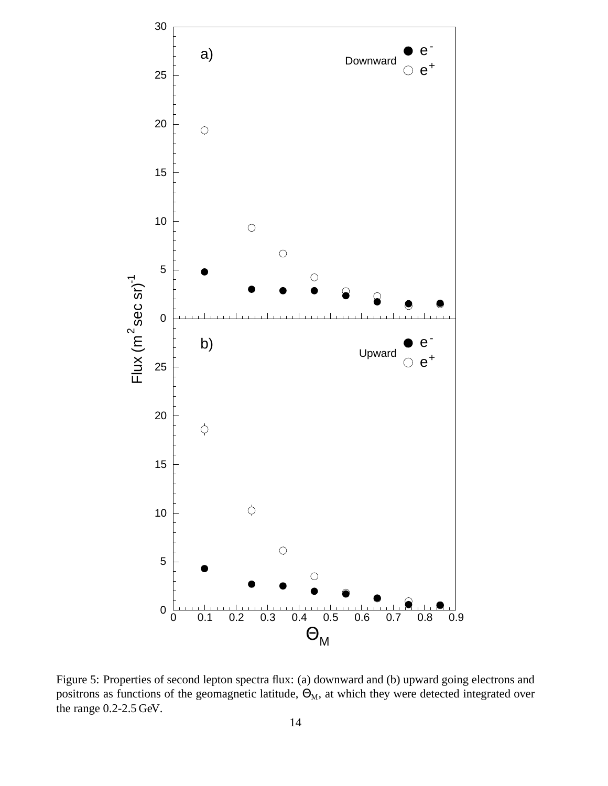

Figure 5: Properties of second lepton spectra flux: (a) downward and (b) upward going electrons and positrons as functions of the geomagnetic latitude,  $\Theta_M$ , at which they were detected integrated over the range 0.2-2.5 GeV.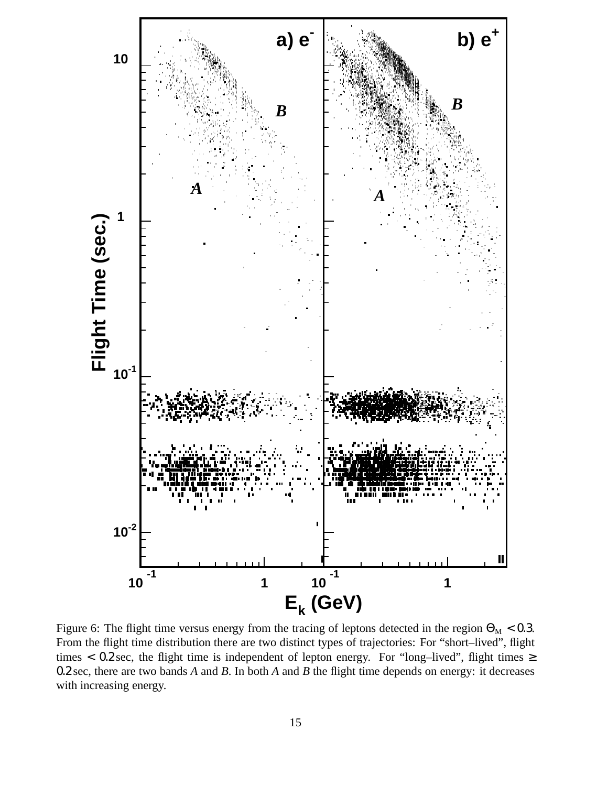

Figure 6: The flight time versus energy from the tracing of leptons detected in the region  $\Theta_M < 0.3$ . From the flight time distribution there are two distinct types of trajectories: For "short–lived", flight times < 0.2 sec, the flight time is independent of lepton energy. For "long-lived", flight times  $\ge$ 0.2 sec, there are two bands *A* and *B*. In both *A* and *B* the flight time depends on energy: it decreases with increasing energy.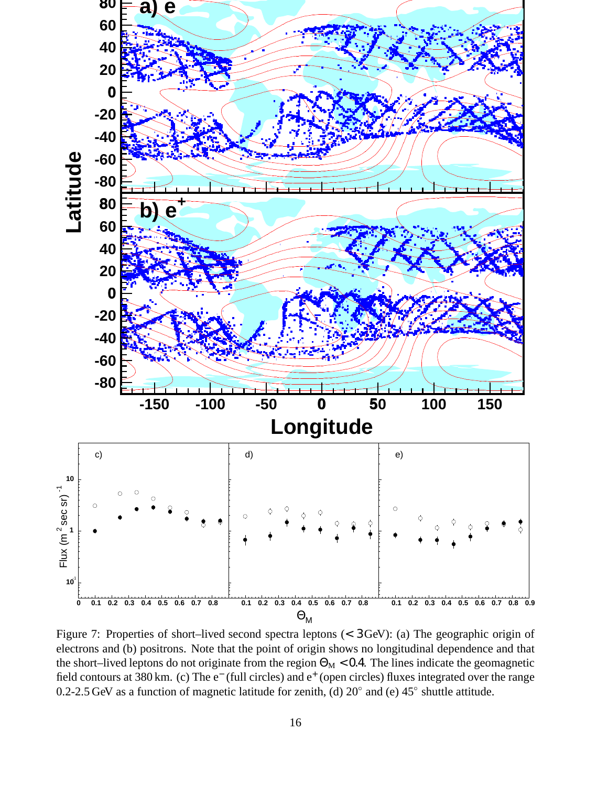

Figure 7: Properties of short–lived second spectra leptons (< 3 GeV): (a) The geographic origin of electrons and (b) positrons. Note that the point of origin shows no longitudinal dependence and that the short–lived leptons do not originate from the region  $\Theta_M < 0.4$ . The lines indicate the geomagnetic field contours at 380 km. (c) The e<sup>-</sup> (full circles) and e<sup>+</sup> (open circles) fluxes integrated over the range 0.2-2.5 GeV as a function of magnetic latitude for zenith, (d)  $20^{\circ}$  and (e)  $45^{\circ}$  shuttle attitude.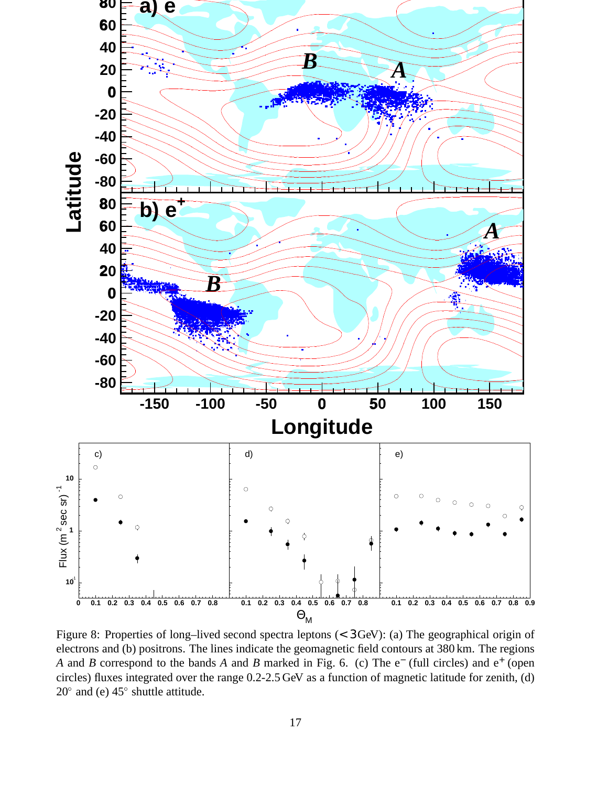

Figure 8: Properties of long–lived second spectra leptons (< 3 GeV): (a) The geographical origin of electrons and (b) positrons. The lines indicate the geomagnetic field contours at 380 km. The regions *A* and *B* correspond to the bands *A* and *B* marked in Fig. 6. (c) The e<sup>−</sup> (full circles) and e<sup>+</sup> (open circles) fluxes integrated over the range 0.2-2.5 GeV as a function of magnetic latitude for zenith, (d)  $20^{\circ}$  and (e)  $45^{\circ}$  shuttle attitude.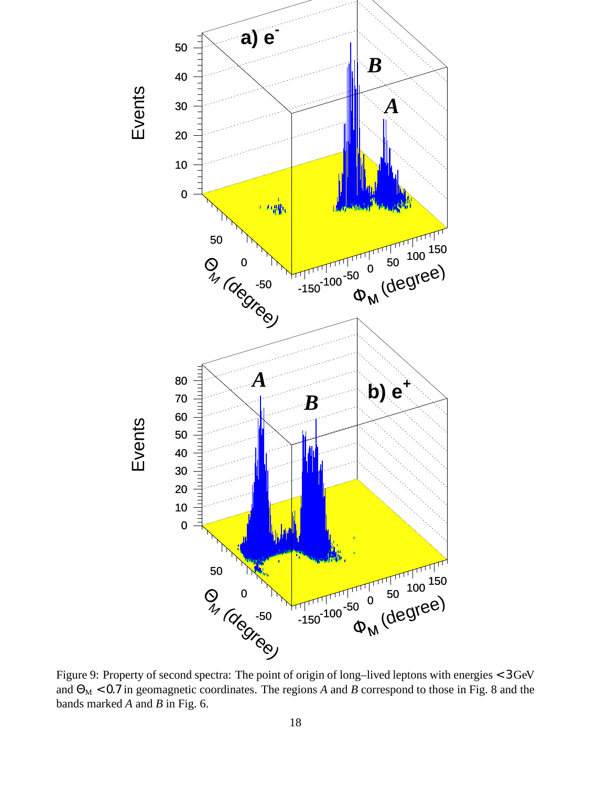

Figure 9: Property of second spectra: The point of origin of long–lived leptons with energies < 3 GeV and  $\Theta_M$  < 0.7 in geomagnetic coordinates. The regions *A* and *B* correspond to those in Fig. 8 and the bands marked *A* and *B* in Fig. 6.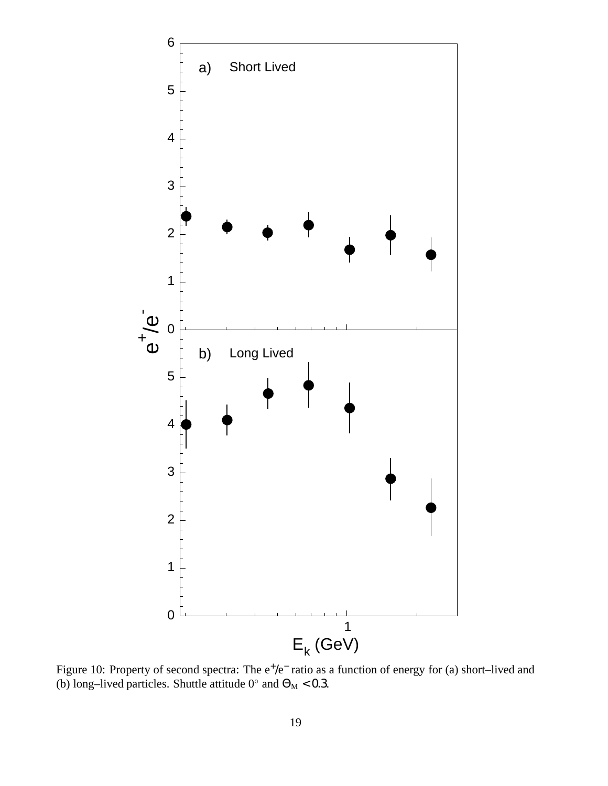

Figure 10: Property of second spectra: The  $e^+/e^-$  ratio as a function of energy for (a) short–lived and (b) long–lived particles. Shuttle attitude  $0^{\circ}$  and  $\Theta_{\text{M}}$  < 0.3.